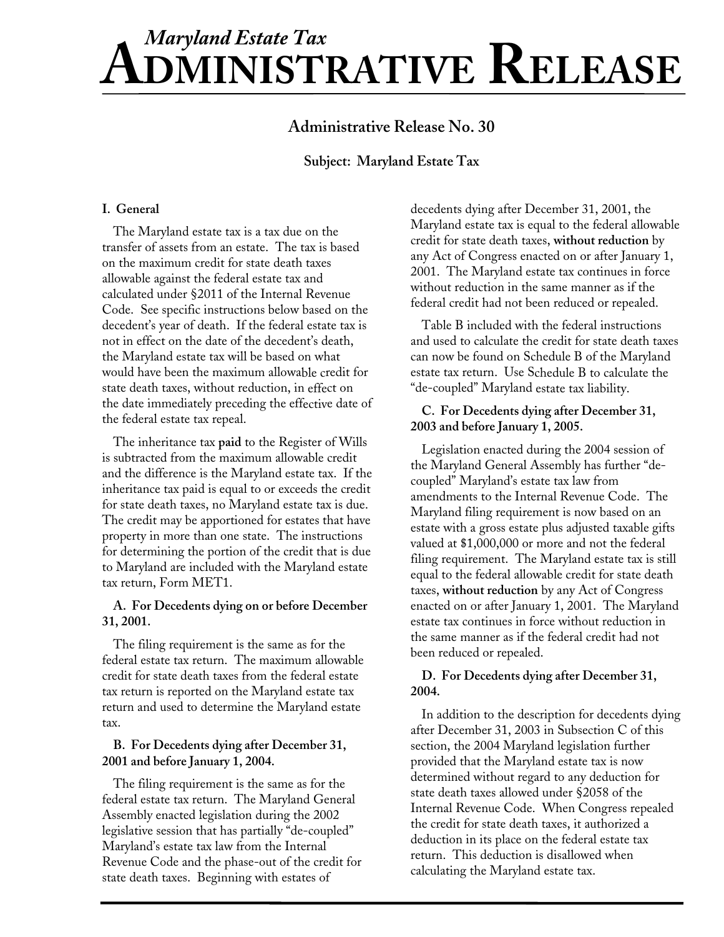# **ADMINISTRATIVE RELEASE** *Maryland Estate Tax*

# **Administrative Release No. 30**

# **Sub ject: Maryland Estate Tax**

# **I. General**

The Maryland estate tax is a tax due on the transfer of assets from an estate. The tax is based on the maximum credit for state death taxes allowable against the federal estate tax and calculated under §2011 of the Internal Revenue Code. See specific instructions below based on the decedent's year of death. If the federal estate tax is not in effect on the date of the decedent's death, the Maryland estate tax will be based on what would have been the maximum allowable credit for state death taxes, without reduction, in effect on the date immediately preceding the effective date of the federal estate tax repeal.

The inheritance tax **paid** to the Register of Wills is subtracted from the maximum allowable credit and the difference is the Maryland estate tax. If the inheritance tax paid is equal to or exceeds the credit for state death taxes, no Maryland estate tax is due. The credit may be apportioned for estates that have property in more than one state. The instructions for determining the portion of the credit th to Maryland are included with the Maryland estate tax return, Form MET1.

# **ing on or before De cember A. For Decedents dy31, 2001.**

The filing requirement is the same as for the federal estate tax return. The maximum allowable credit for state death taxes from the federal estate tax return is reported on the Maryland estate tax return and used to determine the Maryland estate tax.

# **B. For Decedents dying after December 31, 2001 and before January 1, 2004.**

The filing requirement is the same as for the federal estate tax return. The Maryland General Assembly enacted legislation during the 2002 legislative session that has partially "de-coupled" Maryland's estate tax law from the Internal Revenue Code and the phase-out of the credit for state death taxes. Beginning with estates of

decedents dying after December 31, 2001, the Maryland estate tax is equal to the federal allowable credit for state death taxes, **without reduction** by any Act of Congress enacted on or after January 1, 2001. The Maryland estate tax continues in force without reduction in the same manner as if the federal credit had not been reduced or repealed.

Table B included with the federal instructions and used to calculate the credit for state death taxes can now be found on Schedule B of the Maryland estate tax return. Use Schedule B to calculate the "de-coupled" Maryland estate tax liability.

# **ing after December 31, C. For Decedents dy , 2005. 2003 and before January 1**

Legislation enacted during the 2004 session of the Maryland General Assembly has further "decoupled" Maryland's estate tax law from amendments to the Internal Revenue Code. The Maryland filing requirement is now based on an estate with a gross estate plus adjusted taxable gifts references<br>at is due valued at \$1,000,000 or more and not the federal<br>tis due valued at \$1,000,000 or more and not the federal filing requirement. The Maryland estate tax is still equal to the federal allowable credit for state death taxes, **without reduction** by any Act of Congress enacted on or after January 1, 2001. The Maryland estate tax continues in force without reduction in the same manner as if the federal credit had not been reduced or repealed.

# **dying after December 31, D. For Decedents 2004.**

In addition to the description for decedents dying after December 31, 2003 in Subsection C of this section, the 2004 Maryland legislation further provided that the Maryland estate tax is now determined without regard to any deduction for state death taxes allowed under §2058 of the Internal Revenue Code. When Congress repealed the credit for state death taxes, it authorized a deduction in its place on the federal estate tax return. This deduction is disallowed when calculating the Maryland estate tax.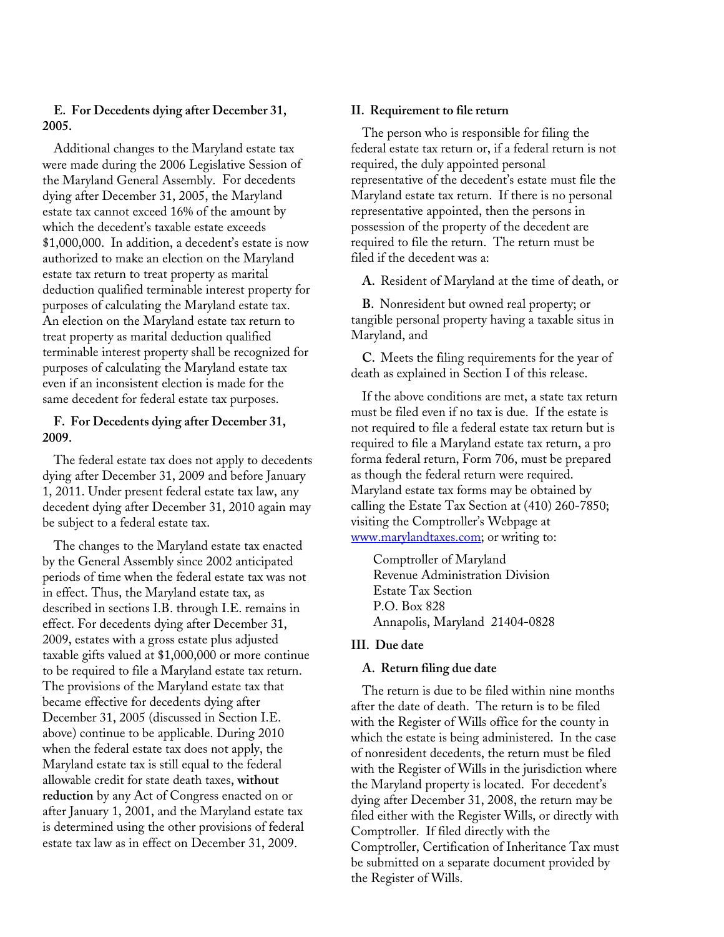## **E. For Decedents dying after Dece mber 31, 2005.**

Additional changes to the Maryland estate tax were made during the 2006 Legislati ve Sessio n of the Maryland General Assembly. For decede nts dying after December 31, 2005, the Mar ylan d estate tax cannot exceed 16% of the am ount b y which the decedent's taxable estate exceeds \$1,000,000. In addition, a decedent's estate is now authorized to make an election on the Maryla nd estate tax return to treat property as mar ital deduction qualified terminable interest p roper ty for purposes of calculating the Maryland estate t ax. An election on the Maryland estate tax return to treat property as marital deduction qualified terminable interest property shall be recognized for purposes of calculating the Maryland estate tax even if an inconsistent election is made for the same decedent for federal estate tax purposes.

#### **g after December 3 1, F. For Decedents dyin 2009.**

The federal estate tax does not apply to decede dying after December 31, 2009 and before Janua 1, 2011. Under present federal estate tax law, any decedent dying after December 31, 2010 again may be subject to a federal estate tax.

The changes to the Maryland estate tax enacted by the General Assembly since 2002 anticipated periods of time when the federal estate tax was not in effect. Thus, the Maryland estate tax, as described in sections I.B. through I.E. remains in effect. For decedents dying after December 31, 2009, estates with a gross estate plus adjusted taxable gifts valued at \$1,000,000 or more continue to be required to file a Maryland estate tax return. The provisions of the Maryland estate tax that became effective for decedents dying after December 31, 2005 (discussed in Section I.E. above) continue to be applicable. During 2010 when the federal estate tax does not apply, the Maryland estate tax is still equal to the federal allowable credit for state death taxes, **without reduction** by any Act of Congress enacted on or after January 1, 2001, and the Maryland estate tax is determined using the other provisions of federal estate tax law as in effect on December 31, 2009.

### **rn II. Requirement to file retu**

The person who is responsible for filing the federal estate tax return or, if a federal return is not required, the duly appointed personal representative of the decedent's estate must file the Maryland estate tax return. If there is no personal representative appointed, then the persons in possession of the property of the decedent are required to file the return. The return must be filed if the decedent was a:

A. Resident of Maryland at the time of death, or

**B.** Nonresident but owned real property; or tangible personal property having a taxable situs in Maryland, and

**C.** Meets the filing requirements for the year of death as explained in Section I of this release.

If the above conditions are met, a state tax return must be filed even if no tax is due. If the estate is not required to file a federal estate tax return but is required to file a Maryland estate tax return, a pro nts forma federal return, Form 706, must be prepared ry as though the federal return were required. Maryland estate tax forms may be obtained by calling the Estate Tax Section at (410) 260-7850; visiting the Comptroller's Webpage at www.marylandtaxes.com; or writing to:

> Comptroller of Maryland Revenue Administration Division 828 Annapolis, Maryland 21404-0 Estate Tax Section P.O. Box 828

#### **III. Due date**

#### **A. Return filing due date**

The return is due to be filed within nine months after the date of death. The return is to be filed with the Register of Wills office for the county in which the estate is being administered. In the case of nonresident decedents, the return must be filed with the Register of Wills in the jurisdiction where the Maryland property is located. For decedent's dying after December 31, 2008, the return may be filed either with the Register Wills, or directly with Comptroller. If filed directly with the Comptroller, Certification of Inheritance Tax must be submitted on a separate document provided by the Register of Wills.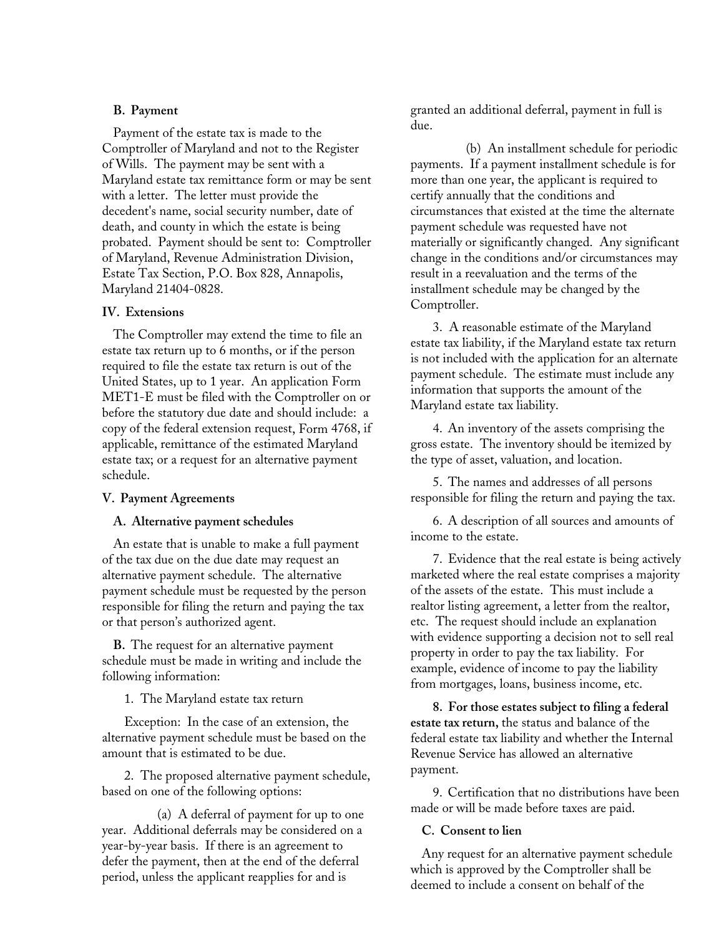#### **B. Payment**

Payment of the estate tax is m ade to the Comptroller of Maryland and not to th e R egister of Wills. The payment may be sent with a Maryland estate tax remittance fo rm or ma y be sent with a letter. The letter must provide th e decedent's name, social security num ber, da te of death, and county in which the est ate is bei ng . Payment should be sent to: Com ptroller probated of Maryland, Revenue Administration Division, Estate Tax Section, P.O. Box 828, Annapolis, Maryland 21404-0828.

#### **IV. Extensions**

The Comptroller may extend the time to file an p estate tax return up to 6 months, or if the erson required to file the estate tax return is out of the United States, up to 1 year. An application Fo MET1-E must be filed with the Comptroller on or a mormanon that suppose the statutory due date and should include: before the statutory due date and should include: a copy of the federal extension request, Form 4768, if applicable, remittance of the estimated Maryland estate tax; or a request for an alternative payment schedule.

#### **V. Payment Agreements**

#### **A. Alternative payment schedules**

An estate that is unable to make a full payment of the tax due on the due date may request an alternative payment schedule. The alternative payment schedule must be requested by the person responsible for filing the return and paying the tax or that person's authorized agent.

**B**. The request for an alternative paymen schedule must be made in writing and includ following information:

1. The Maryland estate tax return

Exception: In the case of an extension, the alternative payment schedule must be based on the amount that is estimated to be due.

2. The proposed alternative payment schedule, based on one of the following options:

(a) A deferral of payment for up to one year. Additional deferrals may be considered on a year-by-year basis. If there is an agreement to defer the payment, then at the end of the deferral period, unless the applicant reapplies for and is

granted an additional deferral, payment in full is due.

(b) An installment schedule for periodic payments. If a payment installment schedule is for more than one year, the applicant is required to certify annually that the conditions and circumstances that existed at the time the alternate payment schedule was requested have not materially or significantly changed. Any significant change in the conditions and/or circumstances may result in a reevaluation and the terms of the installment schedule may be changed by the Comptroller.

3. A reasonable estimate of the Maryland estate tax liability, if the Maryland estate tax return is not included with the application for an alternate payment schedule. The estimate must include any<br>
payment schedule. The estimate must of the  $\frac{1}{2}$  information that supports the amount of the ler on or  $\frac{1}{2}$  Members at set that it is the supports.

> 4.An inventory of the assets comprising the gross estate. The inventory should be itemized by the type of asset, valuation, and location.

5. The names and addresses of all persons responsible for filing the return and paying the tax.

6. A description of all sources and amounts of income to the estate.

7. Evidence that the real estate is being actively marketed where the real estate comprises a majority of the assets of the estate. This must include a realtor listing agreement, a letter from the realtor, etc. The request should include an explanation t with evidence supporting a decision not to sell real<br>
the concertring order to pay the text liability. For e the property in order to pay the tax liability. For<br>example originate of income to pay the liability example, evidence of income to pay the liability from mortgages, loans, business income, etc.

> 8. For those estates subject to filing a federal **estate tax return,** the status and balance of the federal estate tax liability and whether the Internal Revenue Service has allowed an alternative payment.

9.Certification that no distributions have been made or will be made before taxes are paid.

#### **C. Consent to lien**

Any request for an alternative payment schedule which is approved by the Comptroller shall be deemed to include a consent on behalf of the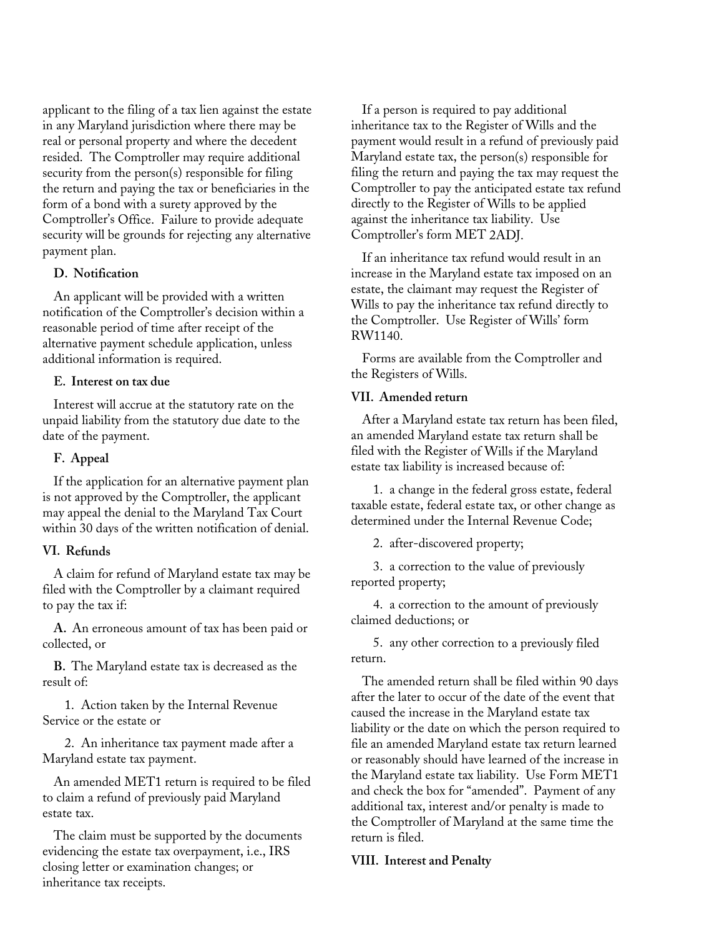applicant to the filing of a tax lien agai nst the estate in any Maryland jurisdiction where ther e may be real or personal property and where the deced ent resided. The Comptroller may require a dditi onal security from the person(s) responsible for fil ing the return and paying the tax or beneficiaries in the form of a bo nd with a surety approved by the Comptroller's Office. Failure to provide adequate security will be grounds for rejecting any alternative payment plan.

#### **D. Notification**

An applicant will be provided with a writte The approach with the provided with a written<br>
notification of the Comptroller's decision within a<br>
reasonable period of time after receipt of the<br>
DMM reasonable period of time after receipt of the alternative payment schedule application, unless additional information is required.

#### **E. Interest on tax due**

Interest will accrue at the statutory rate on the unpaid liability from the statutory due date to the date of the payment.

#### **F. Appeal**

If the application for an alternative payment plan approved by the Comptroller, the applicant the state of the fede is not approved by the Comptroller, the applicant may appeal the denial to the Maryland Tax Court nully appear the definite the International countries.<br>
determined under the Inte

#### **efunds VI. R**

A claim for refund of Maryland estate tax may be filed with the Comptroller by a claimant required to pay the tax if:

A. An erroneous amount of tax has been paid or collected, or

**B.** The Maryland estate tax is decreased as the result of:

1. Action taken by the Internal Revenue Service or the estate or

2. An inheritance tax payment made after a Maryland estate tax payment.

An amended MET1 return is required to be filed to claim a refund of previously paid Maryland estate tax.

The claim must be supported by the documents evidencing the estate tax overpayment, i.e., IRS closing letter or examination changes; or inheritance tax receipts.

If a person is required to pay additional inheritance tax to the Register of Wills and the payment would result in a refund of previously paid Maryland estate tax, the person(s) responsible for filing the return and paying the tax may request the Comptroller to pay the anticipated estate tax refund directly to the Register of Wills to be applied Comptroller's form MET 2ADJ. against the inheritance tax liability. Use

If an inheritance tax refund would result in an increase in the Maryland estate tax imposed on an estate, the claimant may request the Register of<br>Mill to gave the inheritance to unfind directly Wills to pay the inheritance tax refund directly to the Comptroller. Use Register of Wills' form RW1140.

> Forms are available from the Comptroller and the Registers of Wills.

#### **VII. Amended return**

After a Maryland estate tax return has been filed, an amended Maryland estate tax return shall be filed with the Register of Wills if the Maryland estate tax liability is increased because of:

1. a change in the federal gross estate, federal taxable estate, federal estate tax, or other change as determined under the Internal Revenue Code;

2. after-discovered property;

3. a correction to the value of previously reported property;

4. a correction to the amount of previously claimed deductions; or

5. any other correction to a previously filed return.

The amended return shall be filed within 90 days after the later to occur of the date of the event that caused the increase in the Maryland estate tax liability or the date on which the person required to file an amended Maryland estate tax return learned or reasonably should have learned of the increase in the Maryland estate tax liability. Use Form MET1 and check the box for "amended". Payment of any additional tax, interest and/or penalty is made to the Comptroller of Maryland at the same time the return is filed.

#### **VIII. Interest and Penalty**